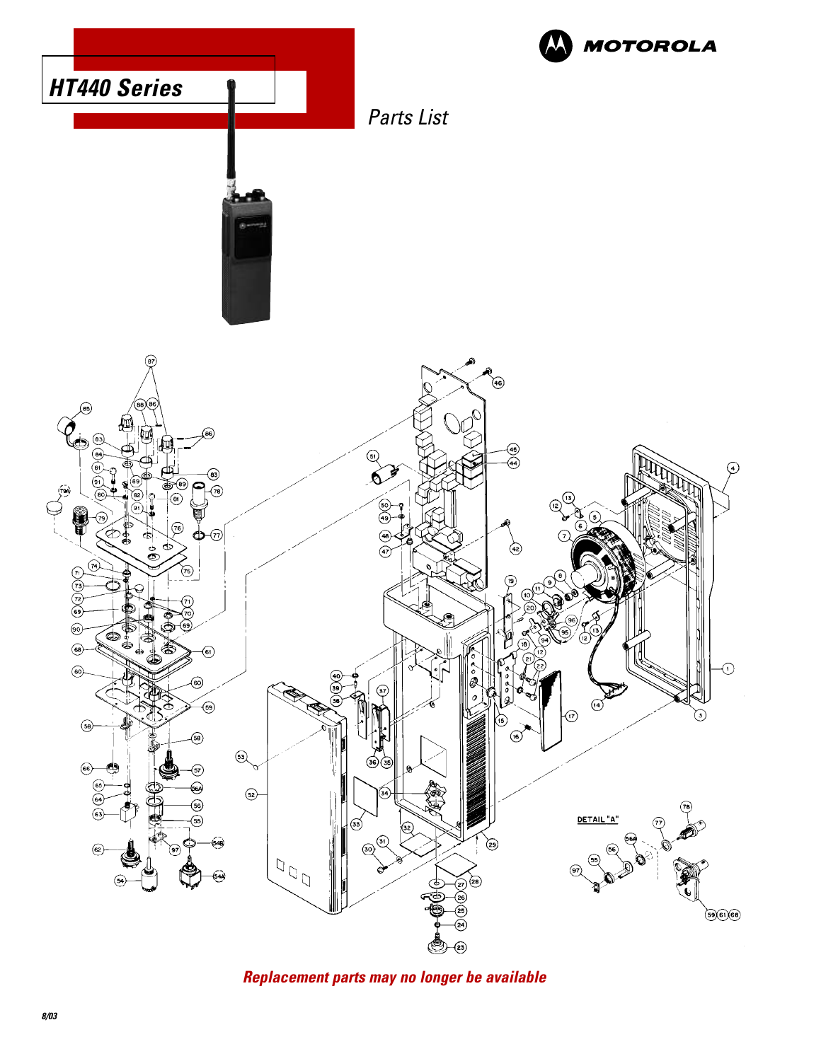

**Replacement parts may no longer be available**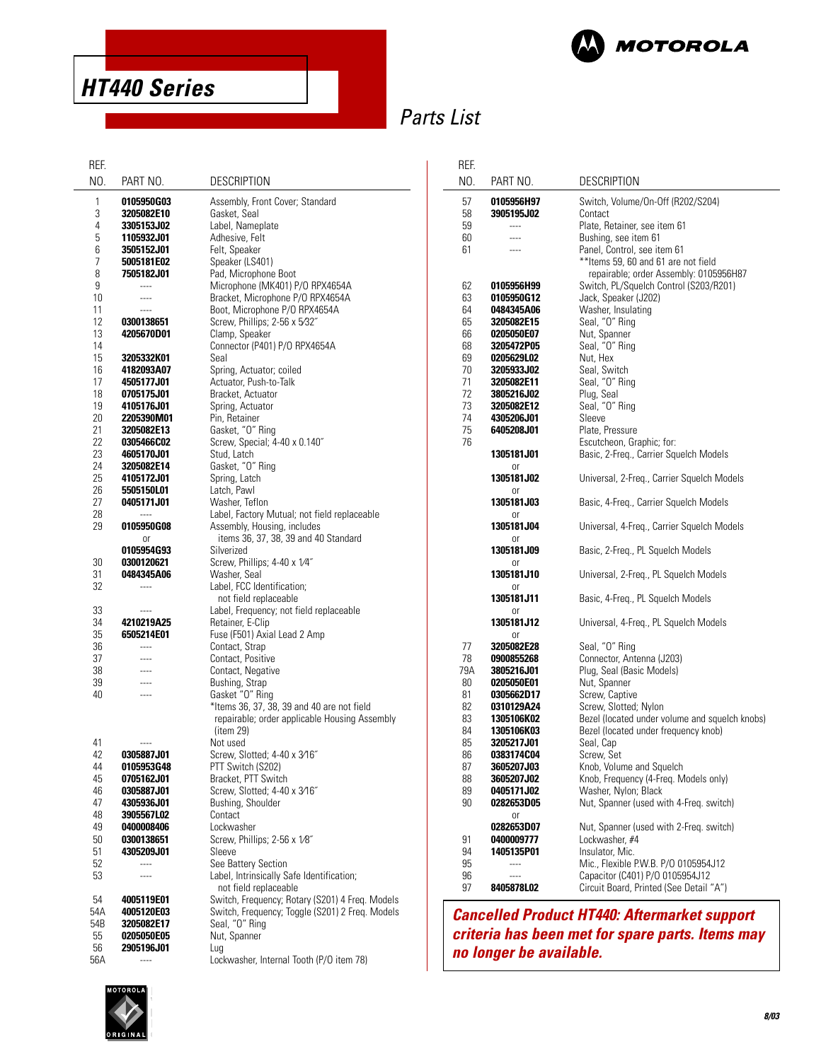

**HT440 Series**

# Parts List

| REF.       |                          |                                                  |  |
|------------|--------------------------|--------------------------------------------------|--|
| NO.        | PART NO.                 | <b>DESCRIPTION</b>                               |  |
| 1          | 0105950G03               | Assembly, Front Cover; Standard                  |  |
| 3          | 3205082E10               | Gasket, Seal                                     |  |
| 4<br>5     | 3305153J02               | Label, Nameplate<br>Adhesive, Felt               |  |
| 6          | 1105932J01<br>3505152J01 | Felt, Speaker                                    |  |
| 7          | 5005181E02               | Speaker (LS401)                                  |  |
| 8          | 7505182J01               | Pad, Microphone Boot                             |  |
| 9          | $---$                    | Microphone (MK401) P/O RPX4654A                  |  |
| 10         | $---$                    | Bracket, Microphone P/O RPX4654A                 |  |
| 11         |                          | Boot, Microphone P/O RPX4654A                    |  |
| 12         | 0300138651               | Screw, Phillips; 2-56 x 5/32"                    |  |
| 13         | 4205670D01               | Clamp, Speaker                                   |  |
| 14         |                          | Connector (P401) P/O RPX4654A                    |  |
| 15         | 3205332K01               | Seal                                             |  |
| 16         | 4182093A07               | Spring, Actuator; coiled                         |  |
| 17         | 4505177J01               | Actuator, Push-to-Talk                           |  |
| 18         | 0705175J01               | Bracket, Actuator                                |  |
| 19         | 4105176J01               | Spring, Actuator                                 |  |
| 20         | 2205390M01               | Pin, Retainer                                    |  |
| 21         | 3205082E13               | Gasket, "O" Ring                                 |  |
| 22         | 0305466C02               | Screw, Special; 4-40 x 0.140"                    |  |
| 23         | 4605170J01               | Stud, Latch                                      |  |
| 24         | 3205082E14               | Gasket, "O" Ring                                 |  |
| 25         | 4105172J01               | Spring, Latch                                    |  |
| 26         | 5505150L01               | Latch, Pawl                                      |  |
| 27         | 0405171J01               | Washer, Teflon                                   |  |
| 28         | ----                     | Label, Factory Mutual; not field replaceable     |  |
| 29         | 0105950G08               | Assembly, Housing, includes                      |  |
|            | or                       | items 36, 37, 38, 39 and 40 Standard             |  |
|            | 0105954G93               | Silverized                                       |  |
| 30         | 0300120621               | Screw, Phillips; 4-40 x 1/4"                     |  |
| 31         | 0484345A06               | Washer, Seal                                     |  |
| 32         |                          | Label, FCC Identification;                       |  |
|            |                          | not field replaceable                            |  |
| 33         | ----                     | Label, Frequency; not field replaceable          |  |
| 34<br>35   | 4210219A25               | Retainer, E-Clip<br>Fuse (F501) Axial Lead 2 Amp |  |
| 36         | 6505214E01<br>$---$      | Contact, Strap                                   |  |
| 37         |                          | Contact, Positive                                |  |
| 38         |                          | Contact, Negative                                |  |
| 39         |                          | Bushing, Strap                                   |  |
| 40         |                          | Gasket "O" Ring                                  |  |
|            |                          | *Items 36, 37, 38, 39 and 40 are not field       |  |
|            |                          | repairable; order applicable Housing Assembly    |  |
|            |                          | $(i$ tem 29)                                     |  |
| 41         |                          | Not used                                         |  |
| 42         | 0305887J01               | Screw, Slotted; 4-40 x 3/16"                     |  |
| 44         | 0105953G48               | PTT Switch (S202)                                |  |
| 45         | 0705162J01               | Bracket, PTT Switch                              |  |
| 46         | 0305887J01               | Screw, Slotted; 4-40 x 3/16"                     |  |
| 47         | 4305936J01               | Bushing, Shoulder                                |  |
| 48         | 3905567L02               | Contact                                          |  |
| 49         | 0400008406               | Lockwasher                                       |  |
| 50         | 0300138651               | Screw, Phillips; 2-56 x 1/8"                     |  |
| 51         | 4305209J01               | Sleeve                                           |  |
| 52         | $---$                    | See Battery Section                              |  |
| 53         |                          | Label, Intrinsically Safe Identification;        |  |
|            |                          | not field replaceable                            |  |
| 54         | 4005119E01               | Switch, Frequency; Rotary (S201) 4 Freq. Models  |  |
| 54A<br>54B | 4005120E03               | Switch, Frequency; Toggle (S201) 2 Freq. Models  |  |
| 55         | 3205082E17<br>0205050E05 | Seal, "O" Ring<br>Nut, Spanner                   |  |
| 56         | <b>2905196J01</b>        | Lug                                              |  |
| 56A        | ----                     | Lockwasher, Internal Tooth (P/O item 78)         |  |
|            |                          |                                                  |  |

| REF.                                                                              |                                                                                                                                                                                                                      |                                                                                                                                                                                                                                                                                                                                                                                                  |
|-----------------------------------------------------------------------------------|----------------------------------------------------------------------------------------------------------------------------------------------------------------------------------------------------------------------|--------------------------------------------------------------------------------------------------------------------------------------------------------------------------------------------------------------------------------------------------------------------------------------------------------------------------------------------------------------------------------------------------|
| NO.                                                                               | PART NO.                                                                                                                                                                                                             | <b>DESCRIPTION</b>                                                                                                                                                                                                                                                                                                                                                                               |
| 57<br>58<br>59<br>60<br>61                                                        | 0105956H97<br>3905195J02                                                                                                                                                                                             | Switch, Volume/On-Off (R202/S204)<br>Contact<br>Plate, Retainer, see item 61<br>Bushing, see item 61<br>Panel, Control, see item 61<br>** Items 59, 60 and 61 are not field<br>repairable; order Assembly: 0105956H87                                                                                                                                                                            |
| 62<br>63<br>64<br>65<br>66<br>68<br>69<br>70<br>71<br>72<br>73<br>74<br>75<br>76  | 0105956H99<br>0105950G12<br>0484345A06<br>3205082E15<br>0205050E07<br>3205472P05<br>0205629L02<br><b>3205933J02</b><br>3205082E11<br><b>3805216J02</b><br>3205082E12<br>4305206J01<br>6405208J01<br>1305181J01<br>0r | Switch, PL/Squelch Control (S203/R201)<br>Jack, Speaker (J202)<br>Washer, Insulating<br>Seal, "O" Ring<br>Nut, Spanner<br>Seal, "O" Ring<br>Nut, Hex<br>Seal, Switch<br>Seal, "O" Ring<br>Plug, Seal<br>Seal, "O" Ring<br>Sleeve<br>Plate, Pressure<br>Escutcheon, Graphic; for:<br>Basic, 2-Freq., Carrier Squelch Models                                                                       |
|                                                                                   | <b>1305181J02</b><br>0r                                                                                                                                                                                              | Universal, 2-Freq., Carrier Squelch Models                                                                                                                                                                                                                                                                                                                                                       |
|                                                                                   | 1305181J03<br>or                                                                                                                                                                                                     | Basic, 4-Freq., Carrier Squelch Models                                                                                                                                                                                                                                                                                                                                                           |
|                                                                                   | <b>1305181J04</b>                                                                                                                                                                                                    | Universal, 4-Freq., Carrier Squelch Models                                                                                                                                                                                                                                                                                                                                                       |
|                                                                                   | 0r<br>1305181J09                                                                                                                                                                                                     | Basic, 2-Freq., PL Squelch Models                                                                                                                                                                                                                                                                                                                                                                |
|                                                                                   | or<br><b>1305181J10</b>                                                                                                                                                                                              | Universal, 2-Freq., PL Squelch Models                                                                                                                                                                                                                                                                                                                                                            |
|                                                                                   | 0r<br>1305181J11                                                                                                                                                                                                     | Basic, 4-Freq., PL Squelch Models                                                                                                                                                                                                                                                                                                                                                                |
|                                                                                   | 0r<br><b>1305181J12</b>                                                                                                                                                                                              | Universal, 4-Freq., PL Squelch Models                                                                                                                                                                                                                                                                                                                                                            |
| 77<br>78<br>79A<br>80<br>81<br>82<br>83<br>84<br>85<br>86<br>87<br>88<br>89<br>90 | or<br>3205082E28<br>0900855268<br>3805216J01<br>0205050E01<br>0305662D17<br>0310129A24<br>1305106K02<br>1305106K03<br>3205217J01<br><b>0383174C04</b><br>3605207J03<br>3605207J02<br>0405171J02<br>0282653D05        | Seal, "O" Ring<br>Connector, Antenna (J203)<br>Plug, Seal (Basic Models)<br>Nut, Spanner<br>Screw, Captive<br>Screw, Slotted; Nylon<br>Bezel (located under volume and squelch knobs)<br>Bezel (located under frequency knob)<br>Seal, Cap<br>Screw, Set<br>Knob, Volume and Squelch<br>Knob, Frequency (4-Freq. Models only)<br>Washer, Nylon; Black<br>Nut, Spanner (used with 4-Freq. switch) |
| 91<br>94<br>95<br>96<br>97                                                        | 0ľ<br>0282653D07<br>0400009777<br>1405135P01<br>$---$<br>$---$<br>8405878L02                                                                                                                                         | Nut, Spanner (used with 2-Freq. switch)<br>Lockwasher, #4<br>Insulator, Mic.<br>Mic., Flexible P.W.B. P/O 0105954J12<br>Capacitor (C401) P/O 0105954J12<br>Circuit Board, Printed (See Detail "A")                                                                                                                                                                                               |

**Cancelled Product HT440: Aftermarket support criteria has been met for spare parts. Items may no longer be available.**

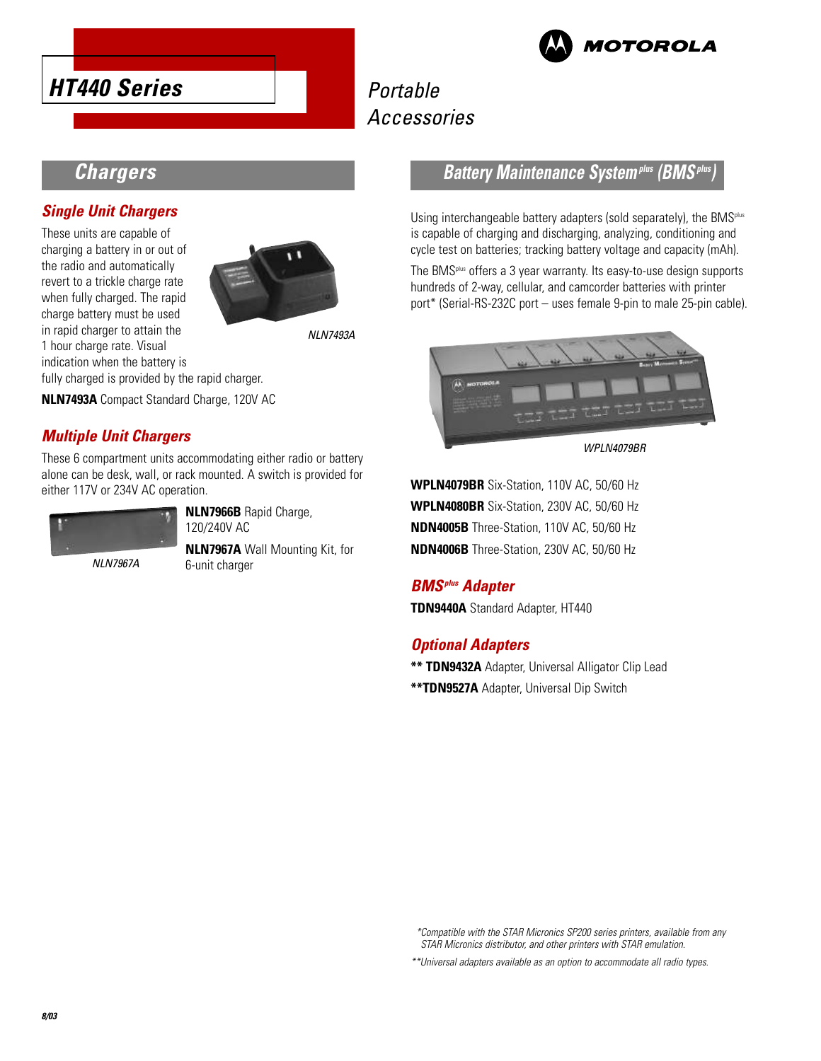



# Portable Accessories

## **Chargers**

### **Single Unit Chargers**

These units are capable of charging a battery in or out of the radio and automatically revert to a trickle charge rate when fully charged. The rapid charge battery must be used in rapid charger to attain the 1 hour charge rate. Visual indication when the battery is fully charged is provided by the rapid charger.



NLN7493A

**NLN7493A** Compact Standard Charge, 120V AC

### **Multiple Unit Chargers**

These 6 compartment units accommodating either radio or battery alone can be desk, wall, or rack mounted. A switch is provided for either 117V or 234V AC operation.



**NLN7966B** Rapid Charge, 120/240V AC

NLN7967A

**NLN7967A** Wall Mounting Kit, for 6-unit charger

### **Battery Maintenance Systemplus (BMSplus)**

Using interchangeable battery adapters (sold separately), the BMS<sup>plus</sup> is capable of charging and discharging, analyzing, conditioning and cycle test on batteries; tracking battery voltage and capacity (mAh).

The BMSplus offers a 3 year warranty. Its easy-to-use design supports hundreds of 2-way, cellular, and camcorder batteries with printer port\* (Serial-RS-232C port – uses female 9-pin to male 25-pin cable).



WPLN4079BR

**WPLN4079BR** Six-Station, 110V AC, 50/60 Hz **WPLN4080BR** Six-Station, 230V AC, 50/60 Hz **NDN4005B** Three-Station, 110V AC, 50/60 Hz **NDN4006B** Three-Station, 230V AC, 50/60 Hz

### **BMSplus Adapter**

**TDN9440A** Standard Adapter, HT440

### **Optional Adapters**

**\*\* TDN9432A** Adapter, Universal Alligator Clip Lead **\*\*TDN9527A** Adapter, Universal Dip Switch

\*Compatible with the STAR Micronics SP200 series printers, available from any STAR Micronics distributor, and other printers with STAR emulation.

\*\*Universal adapters available as an option to accommodate all radio types.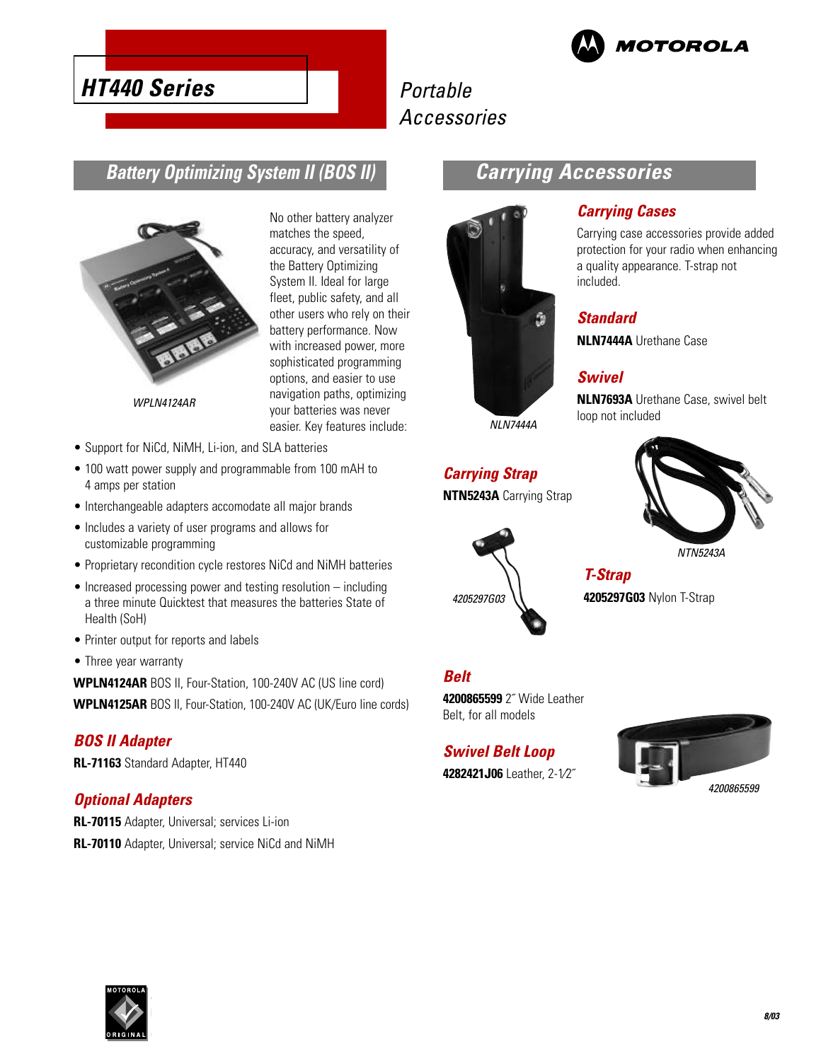

# **HT440 Series**

# Portable Accessories

## **Battery Optimizing System II (BOS II)**



WPLN4124AR

- Support for NiCd, NiMH, Li-ion, and SLA batteries
- 100 watt power supply and programmable from 100 mAH to 4 amps per station
- Interchangeable adapters accomodate all major brands
- Includes a variety of user programs and allows for customizable programming
- Proprietary recondition cycle restores NiCd and NiMH batteries
- Increased processing power and testing resolution including a three minute Quicktest that measures the batteries State of Health (SoH)
- Printer output for reports and labels
- Three year warranty

**WPLN4124AR** BOS II, Four-Station, 100-240V AC (US line cord)

**WPLN4125AR** BOS II, Four-Station, 100-240V AC (UK/Euro line cords)

#### **BOS II Adapter**

**RL-71163** Standard Adapter, HT440

#### **Optional Adapters**

**RL-70115** Adapter, Universal; services Li-ion **RL-70110** Adapter, Universal; service NiCd and NiMH

No other battery analyzer matches the speed, accuracy, and versatility of the Battery Optimizing System II. Ideal for large fleet, public safety, and all other users who rely on their battery performance. Now with increased power, more sophisticated programming options, and easier to use navigation paths, optimizing your batteries was never easier. Key features include:

# **Carrying Accessories**

**Carrying Cases**

included.

**Standard**

**Swivel**

loop not included

**NLN7444A** Urethane Case

Carrying case accessories provide added protection for your radio when enhancing a quality appearance. T-strap not

**NLN7693A** Urethane Case, swivel belt



NLN7444A

# **Carrying Strap**

**NTN5243A** Carrying Strap



NTN5243A

### **T-Strap 4205297G03** Nylon T-Strap

## **Belt**

4205297G03

**4200865599** 2˝ Wide Leather Belt, for all models

#### **Swivel Belt Loop**

**4282421J06** Leather, 2-1⁄2˝



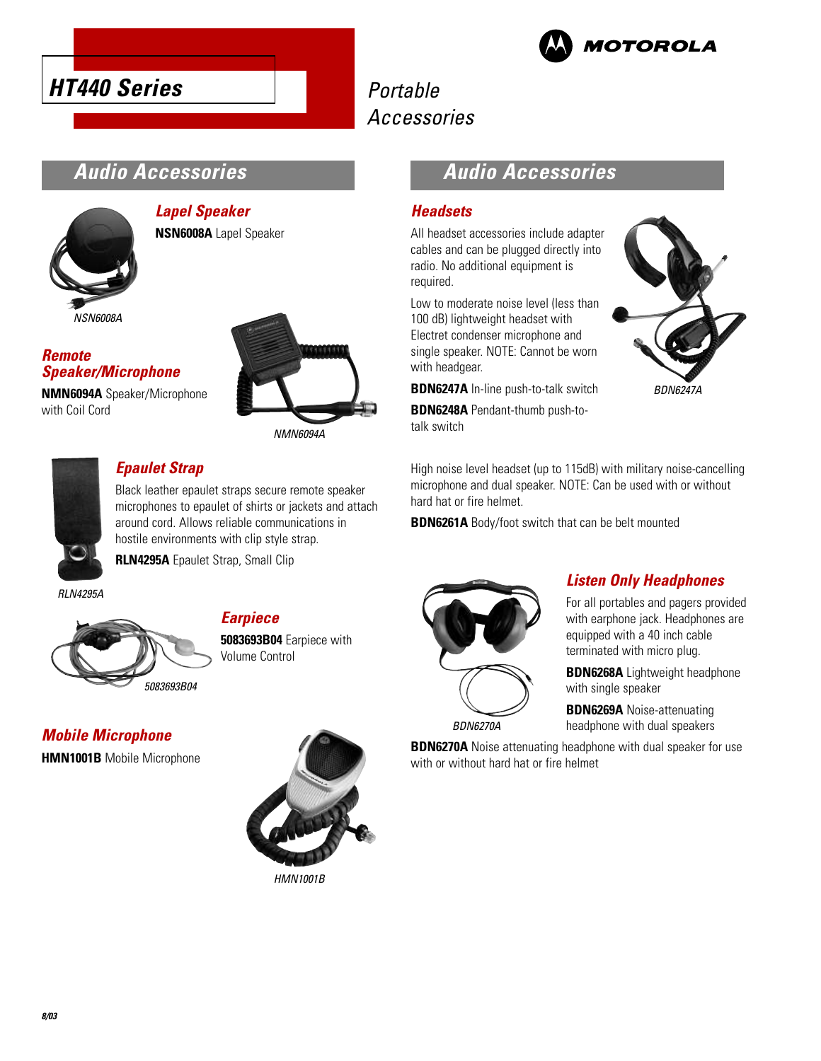



# Portable Accessories

# **Audio Accessories**



### **Lapel Speaker NSN6008A** Lapel Speaker

#### **Remote Speaker/Microphone**

**NMN6094A** Speaker/Microphone with Coil Cord



NMN6094A



### **Epaulet Strap**

Black leather epaulet straps secure remote speaker microphones to epaulet of shirts or jackets and attach around cord. Allows reliable communications in hostile environments with clip style strap.

**RLN4295A** Epaulet Strap, Small Clip

RLN4295A



## **Earpiece**

**5083693B04** Earpiece with Volume Control

**Mobile Microphone HMN1001B** Mobile Microphone



HMN1001B

## **Audio Accessories**

#### **Headsets**

All headset accessories include adapter cables and can be plugged directly into radio. No additional equipment is required.

Low to moderate noise level (less than 100 dB) lightweight headset with Electret condenser microphone and single speaker. NOTE: Cannot be worn with headgear.

**BDN6247A** In-line push-to-talk switch

**BDN6248A** Pendant-thumb push-totalk switch

BDN6247A

High noise level headset (up to 115dB) with military noise-cancelling microphone and dual speaker. NOTE: Can be used with or without hard hat or fire helmet.

**BDN6261A** Body/foot switch that can be belt mounted



### **Listen Only Headphones**

For all portables and pagers provided with earphone jack. Headphones are equipped with a 40 inch cable terminated with micro plug.

**BDN6268A** Lightweight headphone with single speaker

**BDN6269A** Noise-attenuating headphone with dual speakers

**BDN6270A** Noise attenuating headphone with dual speaker for use with or without hard hat or fire helmet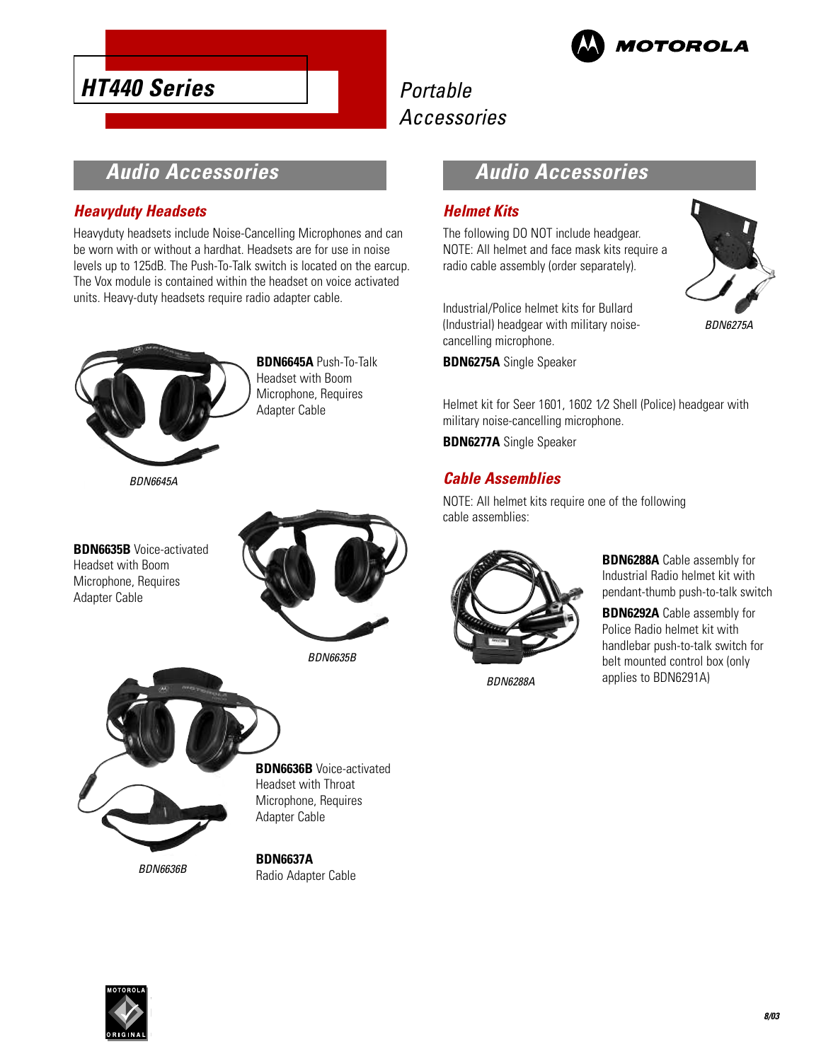



# Portable Accessories

## **Audio Accessories**

#### **Heavyduty Headsets**

Heavyduty headsets include Noise-Cancelling Microphones and can be worn with or without a hardhat. Headsets are for use in noise levels up to 125dB. The Push-To-Talk switch is located on the earcup. The Vox module is contained within the headset on voice activated units. Heavy-duty headsets require radio adapter cable.



**BDN6645A** Push-To-Talk Headset with Boom Microphone, Requires Adapter Cable

BDN6645A

**BDN6635B** Voice-activated Headset with Boom Microphone, Requires Adapter Cable



BDN6635B



**BDN6636B** Voice-activated Headset with Throat Microphone, Requires Adapter Cable

**BDN6637A** Radio Adapter Cable

## **Audio Accessories**

#### **Helmet Kits**

The following DO NOT include headgear. NOTE: All helmet and face mask kits require a radio cable assembly (order separately).



Industrial/Police helmet kits for Bullard (Industrial) headgear with military noisecancelling microphone.

**BDN6275A** Single Speaker

Helmet kit for Seer 1601, 1602 1⁄2 Shell (Police) headgear with military noise-cancelling microphone.

**BDN6277A** Single Speaker

### **Cable Assemblies**

NOTE: All helmet kits require one of the following cable assemblies:



BDN6288A

**BDN6288A** Cable assembly for Industrial Radio helmet kit with pendant-thumb push-to-talk switch

**BDN6292A** Cable assembly for Police Radio helmet kit with handlebar push-to-talk switch for belt mounted control box (only applies to BDN6291A)

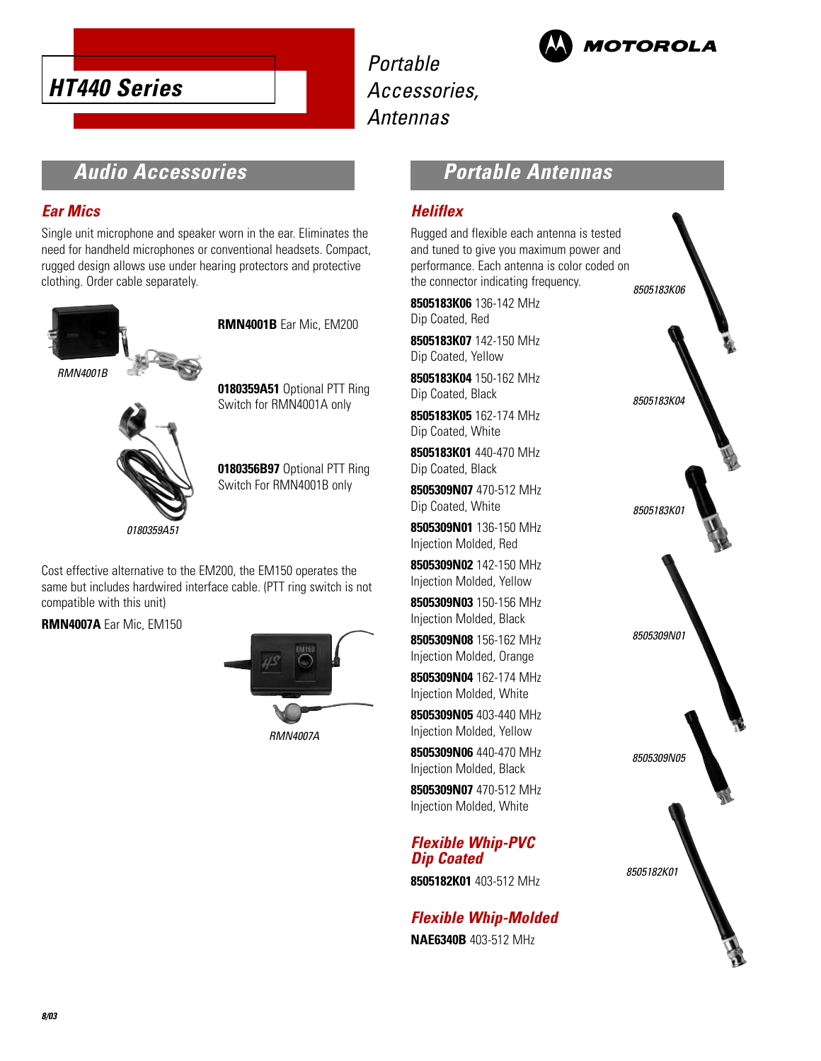

Portable Accessories, Antennas



## **Audio Accessories**

#### **Ear Mics**

Single unit microphone and speaker worn in the ear. Eliminates the need for handheld microphones or conventional headsets. Compact, rugged design allows use under hearing protectors and protective clothing. Order cable separately.



**0180359A51** Optional PTT Ring Switch for RMN4001A only



**0180356B97** Optional PTT Ring Switch For RMN4001B only

**RMN4001B** Ear Mic, EM200

Cost effective alternative to the EM200, the EM150 operates the same but includes hardwired interface cable. (PTT ring switch is not compatible with this unit)

**RMN4007A** Ear Mic, EM150



RMN4007A

## **Portable Antennas**

#### **Heliflex**

Rugged and flexible each antenna is tested and tuned to give you maximum power and performance. Each antenna is color coded on the connector indicating frequency.

**8505183K06** 136-142 MHz Dip Coated, Red

**8505183K07** 142-150 MHz Dip Coated, Yellow

**8505183K04** 150-162 MHz Dip Coated, Black

**8505183K05** 162-174 MHz Dip Coated, White

**8505183K01** 440-470 MHz Dip Coated, Black

**8505309N07** 470-512 MHz Dip Coated, White

**8505309N01** 136-150 MHz Injection Molded, Red

**8505309N02** 142-150 MHz Injection Molded, Yellow

**8505309N03** 150-156 MHz Injection Molded, Black

**8505309N08** 156-162 MHz Injection Molded, Orange

**8505309N04** 162-174 MHz Injection Molded, White

**8505309N05** 403-440 MHz Injection Molded, Yellow

**8505309N06** 440-470 MHz Injection Molded, Black

**8505309N07** 470-512 MHz Injection Molded, White

**Flexible Whip-PVC Dip Coated**

**8505182K01** 403-512 MHz

**Flexible Whip-Molded NAE6340B** 403-512 MHz